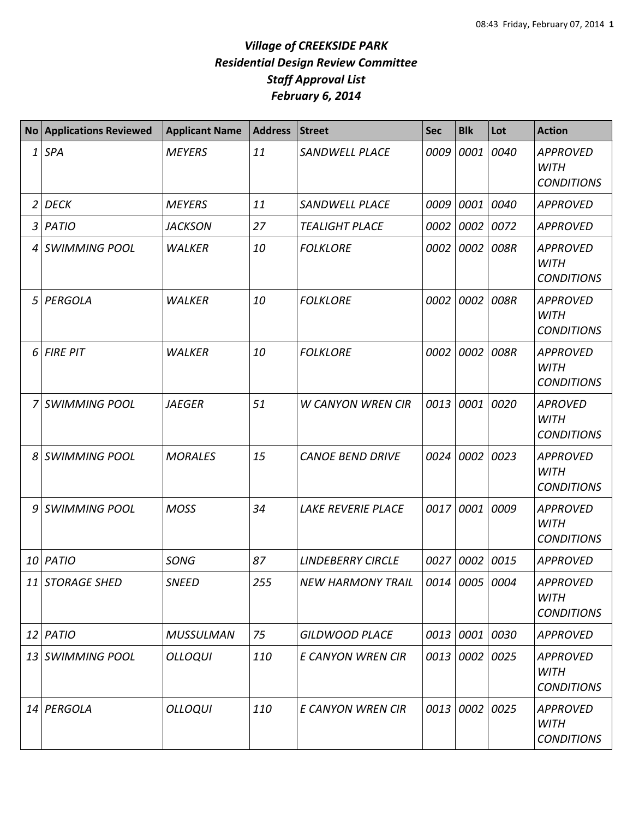| <b>No</b>      | <b>Applications Reviewed</b> | <b>Applicant Name</b> | <b>Address</b> | <b>Street</b>             | <b>Sec</b> | <b>Blk</b>     | Lot       | <b>Action</b>                                       |
|----------------|------------------------------|-----------------------|----------------|---------------------------|------------|----------------|-----------|-----------------------------------------------------|
| 1              | <b>SPA</b>                   | <b>MEYERS</b>         | 11             | <b>SANDWELL PLACE</b>     | 0009       | 0001           | 0040      | <b>APPROVED</b><br><b>WITH</b><br><b>CONDITIONS</b> |
| $\overline{2}$ | <b>DECK</b>                  | <b>MEYERS</b>         | 11             | <b>SANDWELL PLACE</b>     | 0009       |                | 0001 0040 | <b>APPROVED</b>                                     |
| 3              | <b>PATIO</b>                 | <b>JACKSON</b>        | 27             | <b>TEALIGHT PLACE</b>     | 0002       | 0002 0072      |           | <b>APPROVED</b>                                     |
| 4              | <b>SWIMMING POOL</b>         | <b>WALKER</b>         | 10             | <b>FOLKLORE</b>           | 0002       | 0002           | 008R      | <b>APPROVED</b><br><b>WITH</b><br><b>CONDITIONS</b> |
| 5              | PERGOLA                      | <b>WALKER</b>         | 10             | <b>FOLKLORE</b>           | 0002       | 0002           | 008R      | <b>APPROVED</b><br><b>WITH</b><br><b>CONDITIONS</b> |
| 6              | <b>FIRE PIT</b>              | <b>WALKER</b>         | 10             | <b>FOLKLORE</b>           | 0002       |                | 0002 008R | <b>APPROVED</b><br><b>WITH</b><br><b>CONDITIONS</b> |
| 7              | <b>SWIMMING POOL</b>         | <b>JAEGER</b>         | 51             | <b>W CANYON WREN CIR</b>  | 0013       | 0001           | 0020      | <b>APROVED</b><br><b>WITH</b><br><b>CONDITIONS</b>  |
| 8              | <b>SWIMMING POOL</b>         | <b>MORALES</b>        | 15             | <b>CANOE BEND DRIVE</b>   | 0024       | 0002           | 0023      | <b>APPROVED</b><br><b>WITH</b><br><b>CONDITIONS</b> |
| 9              | <b>SWIMMING POOL</b>         | <b>MOSS</b>           | 34             | <b>LAKE REVERIE PLACE</b> | 0017       | 0001 0009      |           | <b>APPROVED</b><br><b>WITH</b><br><b>CONDITIONS</b> |
| 10             | PATIO                        | <b>SONG</b>           | 87             | <b>LINDEBERRY CIRCLE</b>  | 0027       | 0002 0015      |           | <b>APPROVED</b>                                     |
|                | 11 STORAGE SHED              | <b>SNEED</b>          | 255            | <b>NEW HARMONY TRAIL</b>  |            | 0014 0005 0004 |           | <b>APPROVED</b><br><b>WITH</b><br><b>CONDITIONS</b> |
|                | $12$ PATIO                   | <b>MUSSULMAN</b>      | 75             | <b>GILDWOOD PLACE</b>     |            | 0013 0001 0030 |           | <b>APPROVED</b>                                     |
|                | 13 SWIMMING POOL             | <b>OLLOQUI</b>        | 110            | E CANYON WREN CIR         | 0013       | 0002 0025      |           | <b>APPROVED</b><br>WITH<br><b>CONDITIONS</b>        |
|                | 14 PERGOLA                   | <b>OLLOQUI</b>        | 110            | E CANYON WREN CIR         |            | 0013 0002 0025 |           | <b>APPROVED</b><br><b>WITH</b><br><b>CONDITIONS</b> |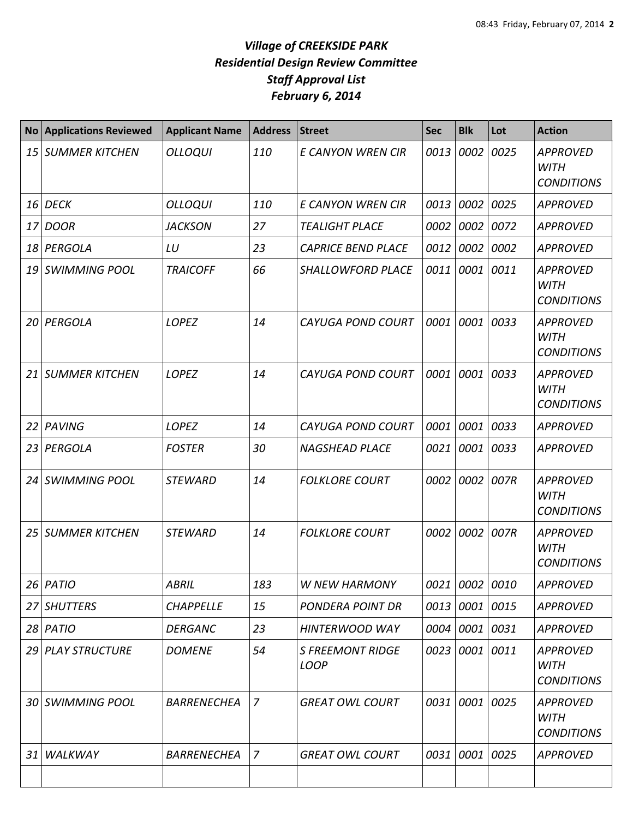| <b>No</b> | <b>Applications Reviewed</b> | <b>Applicant Name</b> | <b>Address</b> | <b>Street</b>                          | <b>Sec</b> | <b>Blk</b>     | Lot       | <b>Action</b>                                       |
|-----------|------------------------------|-----------------------|----------------|----------------------------------------|------------|----------------|-----------|-----------------------------------------------------|
| 15        | <b>SUMMER KITCHEN</b>        | <b>OLLOQUI</b>        | 110            | E CANYON WREN CIR                      | 0013       | 0002           | 0025      | <b>APPROVED</b><br><b>WITH</b><br><b>CONDITIONS</b> |
| 16        | <b>DECK</b>                  | OLLOQUI               | 110            | E CANYON WREN CIR                      | 0013       | 0002 0025      |           | <b>APPROVED</b>                                     |
| 17        | <b>DOOR</b>                  | <b>JACKSON</b>        | 27             | <b>TEALIGHT PLACE</b>                  | 0002       | 0002 0072      |           | <b>APPROVED</b>                                     |
| 18        | PERGOLA                      | LU                    | 23             | <b>CAPRICE BEND PLACE</b>              | 0012       |                | 0002 0002 | <b>APPROVED</b>                                     |
| 19        | <b>SWIMMING POOL</b>         | <b>TRAICOFF</b>       | 66             | <b>SHALLOWFORD PLACE</b>               | 0011       | 0001 0011      |           | <b>APPROVED</b><br><b>WITH</b><br><b>CONDITIONS</b> |
| 20        | PERGOLA                      | <b>LOPEZ</b>          | 14             | <b>CAYUGA POND COURT</b>               | 0001       | 0001           | 0033      | <b>APPROVED</b><br><b>WITH</b><br><b>CONDITIONS</b> |
| 21        | <b>SUMMER KITCHEN</b>        | <b>LOPEZ</b>          | 14             | <b>CAYUGA POND COURT</b>               | 0001       | 0001           | 0033      | <b>APPROVED</b><br><b>WITH</b><br><b>CONDITIONS</b> |
| 22        | PAVING                       | <b>LOPEZ</b>          | 14             | <b>CAYUGA POND COURT</b>               | 0001       | 0001 0033      |           | <b>APPROVED</b>                                     |
| 23        | PERGOLA                      | <b>FOSTER</b>         | 30             | <b>NAGSHEAD PLACE</b>                  | 0021       | 0001           | 0033      | <b>APPROVED</b>                                     |
| 24        | <b>SWIMMING POOL</b>         | <b>STEWARD</b>        | 14             | <b>FOLKLORE COURT</b>                  | 0002       | 0002           | 007R      | <b>APPROVED</b><br><b>WITH</b><br><b>CONDITIONS</b> |
| 25        | <b>SUMMER KITCHEN</b>        | <b>STEWARD</b>        | 14             | <b>FOLKLORE COURT</b>                  | 0002       |                | 0002 007R | <b>APPROVED</b><br><b>WITH</b><br><b>CONDITIONS</b> |
|           | $26$ PATIO                   | <b>ABRIL</b>          | 183            | W NEW HARMONY                          |            | 0021 0002 0010 |           | <b>APPROVED</b>                                     |
| 27        | <b>SHUTTERS</b>              | <b>CHAPPELLE</b>      | 15             | PONDERA POINT DR                       | 0013       | 0001 0015      |           | <b>APPROVED</b>                                     |
|           | 28 PATIO                     | <b>DERGANC</b>        | 23             | <b>HINTERWOOD WAY</b>                  | 0004       | 0001 0031      |           | <b>APPROVED</b>                                     |
| 29 I      | <b>PLAY STRUCTURE</b>        | <b>DOMENE</b>         | 54             | <b>S FREEMONT RIDGE</b><br><b>LOOP</b> | 0023       | 0001 0011      |           | <b>APPROVED</b><br><b>WITH</b><br><b>CONDITIONS</b> |
| 30        | <b>SWIMMING POOL</b>         | <b>BARRENECHEA</b>    | $\overline{z}$ | <b>GREAT OWL COURT</b>                 | 0031       | 0001 0025      |           | <b>APPROVED</b><br><b>WITH</b><br><b>CONDITIONS</b> |
| 31        | WALKWAY                      | <b>BARRENECHEA</b>    | 7              | <b>GREAT OWL COURT</b>                 | 0031       | 0001 0025      |           | <b>APPROVED</b>                                     |
|           |                              |                       |                |                                        |            |                |           |                                                     |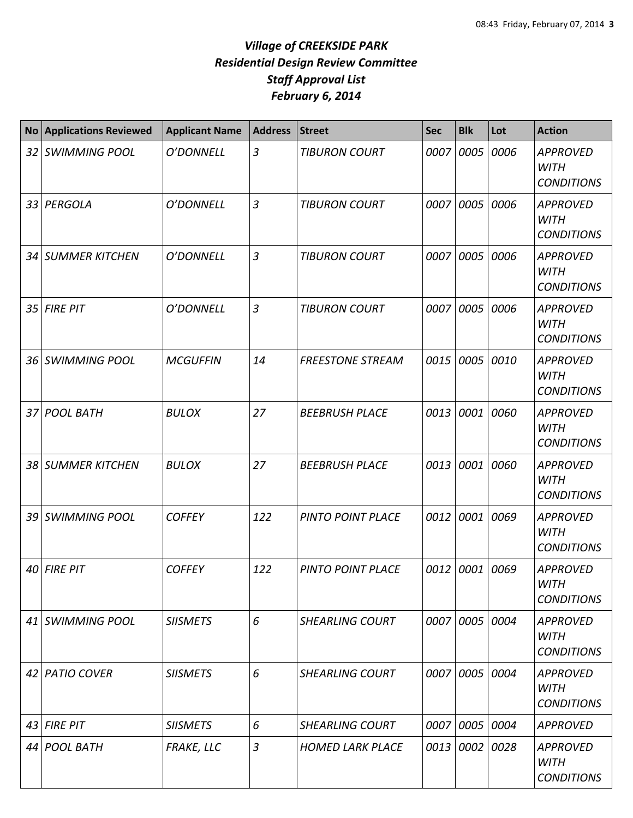| <b>No</b> | <b>Applications Reviewed</b> | <b>Applicant Name</b> | <b>Address</b> | <b>Street</b>           | <b>Sec</b> | <b>Blk</b>     | Lot  | <b>Action</b>                                       |
|-----------|------------------------------|-----------------------|----------------|-------------------------|------------|----------------|------|-----------------------------------------------------|
|           | 32 SWIMMING POOL             | O'DONNELL             | $\mathfrak{Z}$ | <b>TIBURON COURT</b>    | 0007       | 0005           | 0006 | <b>APPROVED</b><br><b>WITH</b><br><b>CONDITIONS</b> |
|           | 33 PERGOLA                   | O'DONNELL             | $\overline{3}$ | <b>TIBURON COURT</b>    | 0007       | 0005           | 0006 | <b>APPROVED</b><br><b>WITH</b><br><b>CONDITIONS</b> |
|           | 34 SUMMER KITCHEN            | O'DONNELL             | $\overline{3}$ | <b>TIBURON COURT</b>    | 0007       | 0005           | 0006 | <b>APPROVED</b><br><b>WITH</b><br><b>CONDITIONS</b> |
|           | 35 FIRE PIT                  | O'DONNELL             | $\overline{3}$ | <b>TIBURON COURT</b>    | 0007       | 0005           | 0006 | <b>APPROVED</b><br><b>WITH</b><br><b>CONDITIONS</b> |
|           | 36 SWIMMING POOL             | <b>MCGUFFIN</b>       | 14             | <b>FREESTONE STREAM</b> | 0015       | 0005 0010      |      | <b>APPROVED</b><br><b>WITH</b><br><b>CONDITIONS</b> |
|           | 37 POOL BATH                 | <b>BULOX</b>          | 27             | <b>BEEBRUSH PLACE</b>   | 0013       | 0001           | 0060 | <b>APPROVED</b><br><b>WITH</b><br><b>CONDITIONS</b> |
|           | 38 SUMMER KITCHEN            | <b>BULOX</b>          | 27             | <b>BEEBRUSH PLACE</b>   | 0013       | 0001           | 0060 | <b>APPROVED</b><br><b>WITH</b><br><b>CONDITIONS</b> |
|           | 39 SWIMMING POOL             | <b>COFFEY</b>         | 122            | PINTO POINT PLACE       | 0012       | 0001           | 0069 | <b>APPROVED</b><br><b>WITH</b><br><b>CONDITIONS</b> |
|           | 40 FIRE PIT                  | <b>COFFEY</b>         | 122            | PINTO POINT PLACE       | 0012       | 0001           | 0069 | <b>APPROVED</b><br><b>WITH</b><br><b>CONDITIONS</b> |
|           | 41 SWIMMING POOL             | <b>SIISMETS</b>       | 6              | <b>SHEARLING COURT</b>  |            | 0007 0005 0004 |      | <b>APPROVED</b><br><b>WITH</b><br><b>CONDITIONS</b> |
|           | 42 PATIO COVER               | <b>SIISMETS</b>       | 6              | <b>SHEARLING COURT</b>  |            | 0007 0005 0004 |      | <b>APPROVED</b><br><b>WITH</b><br><b>CONDITIONS</b> |
|           | $43$ FIRE PIT                | <b>SIISMETS</b>       | 6              | <b>SHEARLING COURT</b>  |            | 0007 0005 0004 |      | <b>APPROVED</b>                                     |
|           | 44 POOL BATH                 | <b>FRAKE, LLC</b>     | $\mathfrak{Z}$ | <b>HOMED LARK PLACE</b> |            | 0013 0002 0028 |      | <b>APPROVED</b><br><b>WITH</b><br><b>CONDITIONS</b> |